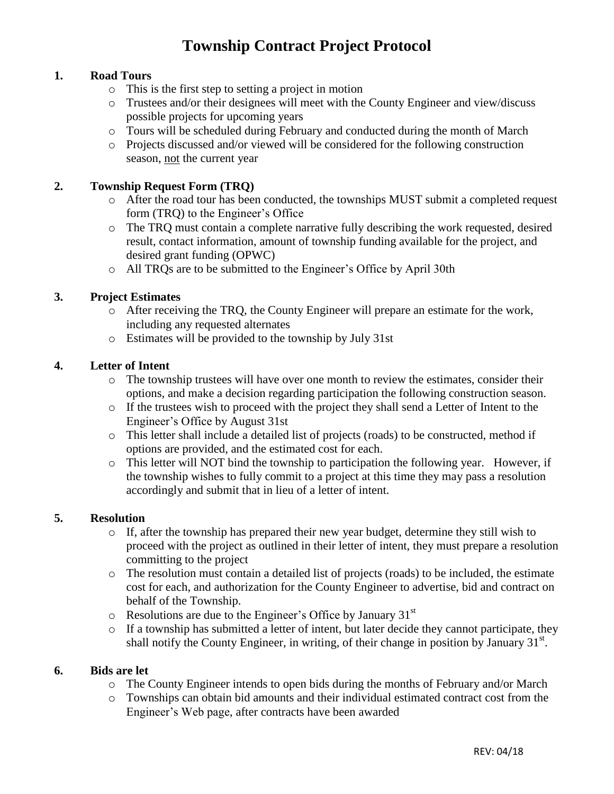# **Township Contract Project Protocol**

## **1. Road Tours**

- o This is the first step to setting a project in motion
- o Trustees and/or their designees will meet with the County Engineer and view/discuss possible projects for upcoming years
- o Tours will be scheduled during February and conducted during the month of March
- o Projects discussed and/or viewed will be considered for the following construction season, not the current year

### **2. Township Request Form (TRQ)**

- o After the road tour has been conducted, the townships MUST submit a completed request form (TRQ) to the Engineer's Office
- o The TRQ must contain a complete narrative fully describing the work requested, desired result, contact information, amount of township funding available for the project, and desired grant funding (OPWC)
- o All TRQs are to be submitted to the Engineer's Office by April 30th

## **3. Project Estimates**

- o After receiving the TRQ, the County Engineer will prepare an estimate for the work, including any requested alternates
- o Estimates will be provided to the township by July 31st

#### **4. Letter of Intent**

- o The township trustees will have over one month to review the estimates, consider their options, and make a decision regarding participation the following construction season.
- o If the trustees wish to proceed with the project they shall send a Letter of Intent to the Engineer's Office by August 31st
- o This letter shall include a detailed list of projects (roads) to be constructed, method if options are provided, and the estimated cost for each.
- o This letter will NOT bind the township to participation the following year. However, if the township wishes to fully commit to a project at this time they may pass a resolution accordingly and submit that in lieu of a letter of intent.

### **5. Resolution**

- o If, after the township has prepared their new year budget, determine they still wish to proceed with the project as outlined in their letter of intent, they must prepare a resolution committing to the project
- o The resolution must contain a detailed list of projects (roads) to be included, the estimate cost for each, and authorization for the County Engineer to advertise, bid and contract on behalf of the Township.
- $\circ$  Resolutions are due to the Engineer's Office by January 31<sup>st</sup>
- o If a township has submitted a letter of intent, but later decide they cannot participate, they shall notify the County Engineer, in writing, of their change in position by January  $31<sup>st</sup>$ .

### **6. Bids are let**

- o The County Engineer intends to open bids during the months of February and/or March
- o Townships can obtain bid amounts and their individual estimated contract cost from the Engineer's Web page, after contracts have been awarded